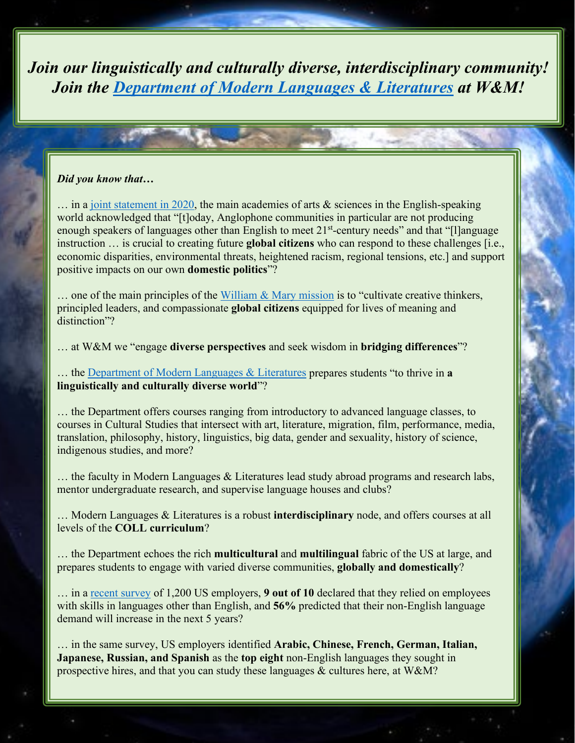*Join our linguistically and culturally diverse, interdisciplinary community! Join the [Department of Modern Languages & Literatures](https://www.wm.edu/as/modernlanguages/index.php) at W&M!*

#### *Did you know that…*

 $\ldots$  in a [joint statement in 2020,](https://www.amacad.org/news/global-languages-importance) the main academies of arts  $\&$  sciences in the English-speaking world acknowledged that "[t]oday, Anglophone communities in particular are not producing enough speakers of languages other than English to meet  $21<sup>st</sup>$ -century needs" and that "[l]anguage instruction … is crucial to creating future **global citizens** who can respond to these challenges [i.e., economic disparities, environmental threats, heightened racism, regional tensions, etc.] and support positive impacts on our own **domestic politics**"?

 $\ldots$  one of the main principles of the [William & Mary mission](https://www.wm.edu/about/administration/vision-mission-values/) is to "cultivate creative thinkers, principled leaders, and compassionate **global citizens** equipped for lives of meaning and distinction"?

… at W&M we "engage **diverse perspectives** and seek wisdom in **bridging differences**"?

… the [Department of Modern Languages & Literatures](https://www.wm.edu/as/modernlanguages/index.php) prepares students "to thrive in **a linguistically and culturally diverse world**"?

… the Department offers courses ranging from introductory to advanced language classes, to courses in Cultural Studies that intersect with art, literature, migration, film, performance, media, translation, philosophy, history, linguistics, big data, gender and sexuality, history of science, indigenous studies, and more?

… the faculty in Modern Languages & Literatures lead study abroad programs and research labs, mentor undergraduate research, and supervise language houses and clubs?

… Modern Languages & Literatures is a robust **interdisciplinary** node, and offers courses at all levels of the **COLL curriculum**?

… the Department echoes the rich **multicultural** and **multilingual** fabric of the US at large, and prepares students to engage with varied diverse communities, **globally and domestically**?

… in a [recent survey](https://www.leadwithlanguages.org/language-advocacy/publications/) of 1,200 US employers, **9 out of 10** declared that they relied on employees with skills in languages other than English, and **56%** predicted that their non-English language demand will increase in the next 5 years?

… in the same survey, US employers identified **Arabic, Chinese, French, German, Italian, Japanese, Russian, and Spanish** as the **top eight** non-English languages they sought in prospective hires, and that you can study these languages & cultures here, at W&M?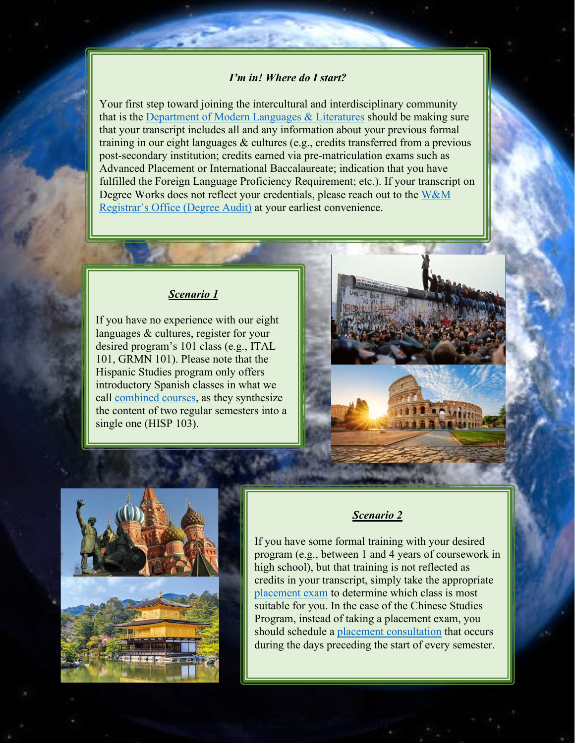#### *I'm in! Where do I start?*

Your first step toward joining the intercultural and interdisciplinary community that is the [Department of Modern Languages & Literatures](https://www.wm.edu/as/modernlanguages/index.php) should be making sure that your transcript includes all and any information about your previous formal training in our eight languages & cultures (e.g., credits transferred from a previous post-secondary institution; credits earned via pre-matriculation exams such as Advanced Placement or International Baccalaureate; indication that you have fulfilled the Foreign Language Proficiency Requirement; etc.). If your transcript on Degree Works does not reflect your credentials, please reach out to the [W&M](https://www.wm.edu/offices/registrar/about/whomtoask/index.php)  [Registrar's Office \(Degree Audit\)](https://www.wm.edu/offices/registrar/about/whomtoask/index.php) at your earliest convenience.

#### *Scenario 1*

If you have no experience with our eight languages & cultures, register for your desired program's 101 class (e.g., ITAL 101, GRMN 101). Please note that the Hispanic Studies program only offers introductory Spanish classes in what we call [combined courses,](https://www.wm.edu/as/modernlanguages/undergraduate/placement/combined-courses/index.php) as they synthesize the content of two regular semesters into a single one (HISP 103).





### *Scenario 2*

If you have some formal training with your desired program (e.g., between 1 and 4 years of coursework in high school), but that training is not reflected as credits in your transcript, simply take the appropriate [placement exam](https://www.wm.edu/as/modernlanguages/undergraduate/placement/index.php) to determine which class is most suitable for you. In the case of the Chinese Studies Program, instead of taking a placement exam, you should schedule a [placement consultation](https://www.wm.edu/as/modernlanguages/chinese/placement/index.php) that occurs during the days preceding the start of every semester.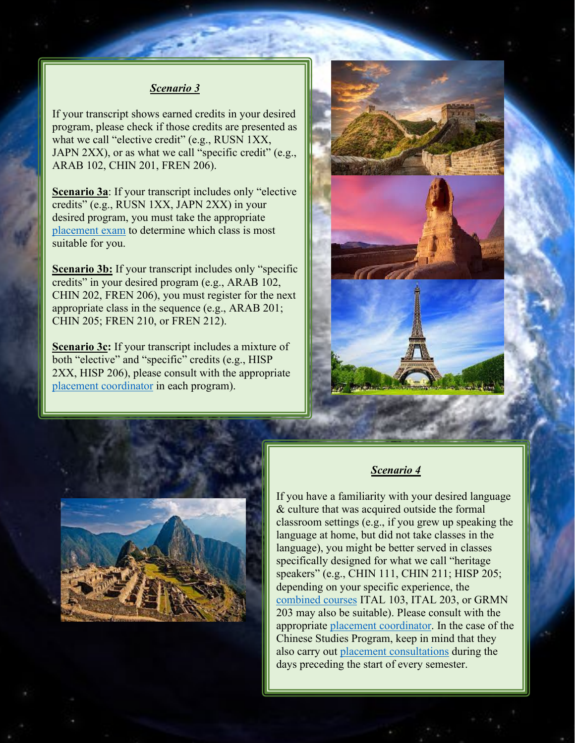#### *Scenario 3*

If your transcript shows earned credits in your desired program, please check if those credits are presented as what we call "elective credit" (e.g., RUSN 1XX, JAPN 2XX), or as what we call "specific credit" (e.g., ARAB 102, CHIN 201, FREN 206).

**Scenario 3a**: If your transcript includes only "elective credits" (e.g., RUSN 1XX, JAPN 2XX) in your desired program, you must take the appropriate [placement exam](https://www.wm.edu/as/modernlanguages/undergraduate/placement/index.php) to determine which class is most suitable for you.

**Scenario 3b:** If your transcript includes only "specific credits" in your desired program (e.g., ARAB 102, CHIN 202, FREN 206), you must register for the next appropriate class in the sequence (e.g., ARAB 201; CHIN 205; FREN 210, or FREN 212).

**Scenario 3c:** If your transcript includes a mixture of both "elective" and "specific" credits (e.g., HISP 2XX, HISP 206), please consult with the appropriate [placement coordinator](https://www.wm.edu/as/modernlanguages/undergraduate/placement/index.php) in each program).





#### *Scenario 4*

If you have a familiarity with your desired language & culture that was acquired outside the formal classroom settings (e.g., if you grew up speaking the language at home, but did not take classes in the language), you might be better served in classes specifically designed for what we call "heritage speakers" (e.g., CHIN 111, CHIN 211; HISP 205; depending on your specific experience, the [combined courses](https://www.wm.edu/as/modernlanguages/undergraduate/placement/combined-courses/index.php) ITAL 103, ITAL 203, or GRMN 203 may also be suitable). Please consult with the appropriate [placement coordinator.](https://www.wm.edu/as/modernlanguages/undergraduate/placement/index.php) In the case of the Chinese Studies Program, keep in mind that they also carry out [placement consultations](https://www.wm.edu/as/modernlanguages/chinese/placement/index.php) during the days preceding the start of every semester.